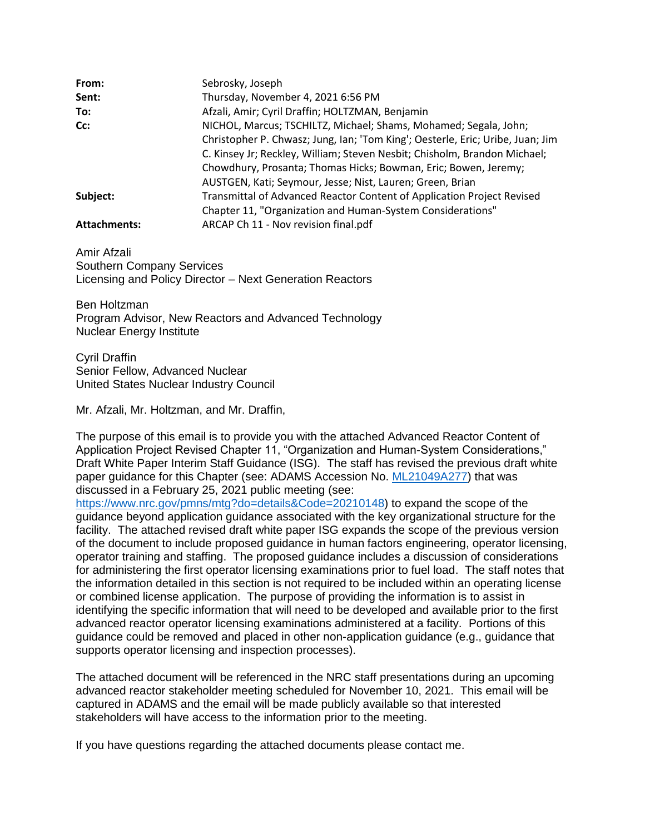| From:               | Sebrosky, Joseph                                                               |  |  |
|---------------------|--------------------------------------------------------------------------------|--|--|
| Sent:               | Thursday, November 4, 2021 6:56 PM                                             |  |  |
| To:                 | Afzali, Amir; Cyril Draffin; HOLTZMAN, Benjamin                                |  |  |
| Cc:                 | NICHOL, Marcus; TSCHILTZ, Michael; Shams, Mohamed; Segala, John;               |  |  |
|                     | Christopher P. Chwasz; Jung, Ian; 'Tom King'; Oesterle, Eric; Uribe, Juan; Jim |  |  |
|                     | C. Kinsey Jr; Reckley, William; Steven Nesbit; Chisholm, Brandon Michael;      |  |  |
|                     | Chowdhury, Prosanta; Thomas Hicks; Bowman, Eric; Bowen, Jeremy;                |  |  |
|                     | AUSTGEN, Kati; Seymour, Jesse; Nist, Lauren; Green, Brian                      |  |  |
| Subject:            | Transmittal of Advanced Reactor Content of Application Project Revised         |  |  |
|                     | Chapter 11, "Organization and Human-System Considerations"                     |  |  |
| <b>Attachments:</b> | ARCAP Ch 11 - Nov revision final.pdf                                           |  |  |

Amir Afzali Southern Company Services Licensing and Policy Director – Next Generation Reactors

Ben Holtzman Program Advisor, New Reactors and Advanced Technology Nuclear Energy Institute

Cyril Draffin Senior Fellow, Advanced Nuclear United States Nuclear Industry Council

Mr. Afzali, Mr. Holtzman, and Mr. Draffin,

The purpose of this email is to provide you with the attached Advanced Reactor Content of Application Project Revised Chapter 11, "Organization and Human-System Considerations," Draft White Paper Interim Staff Guidance (ISG). The staff has revised the previous draft white paper guidance for this Chapter (see: ADAMS Accession No. [ML21049A277\)](https://www.nrc.gov/docs/ML2104/ML21049A277.pdf) that was discussed in a February 25, 2021 public meeting (see:

[https://www.nrc.gov/pmns/mtg?do=details&Code=20210148\)](https://www.nrc.gov/pmns/mtg?do=details&Code=20210148) to expand the scope of the guidance beyond application guidance associated with the key organizational structure for the facility. The attached revised draft white paper ISG expands the scope of the previous version of the document to include proposed guidance in human factors engineering, operator licensing, operator training and staffing. The proposed guidance includes a discussion of considerations for administering the first operator licensing examinations prior to fuel load. The staff notes that the information detailed in this section is not required to be included within an operating license or combined license application. The purpose of providing the information is to assist in identifying the specific information that will need to be developed and available prior to the first advanced reactor operator licensing examinations administered at a facility. Portions of this guidance could be removed and placed in other non-application guidance (e.g., guidance that supports operator licensing and inspection processes).

The attached document will be referenced in the NRC staff presentations during an upcoming advanced reactor stakeholder meeting scheduled for November 10, 2021. This email will be captured in ADAMS and the email will be made publicly available so that interested stakeholders will have access to the information prior to the meeting.

If you have questions regarding the attached documents please contact me.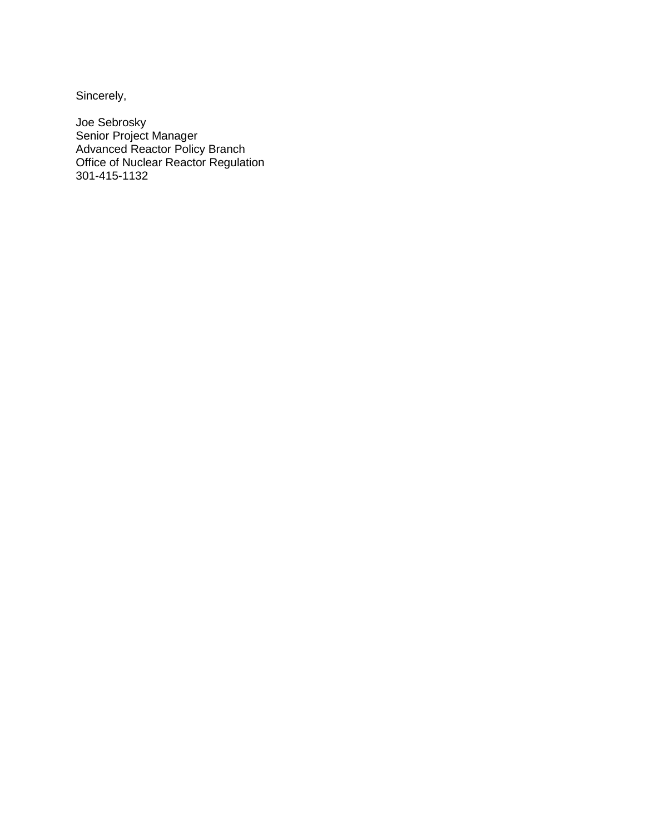Sincerely,

Joe Sebrosky Senior Project Manager Advanced Reactor Policy Branch Office of Nuclear Reactor Regulation 301-415-1132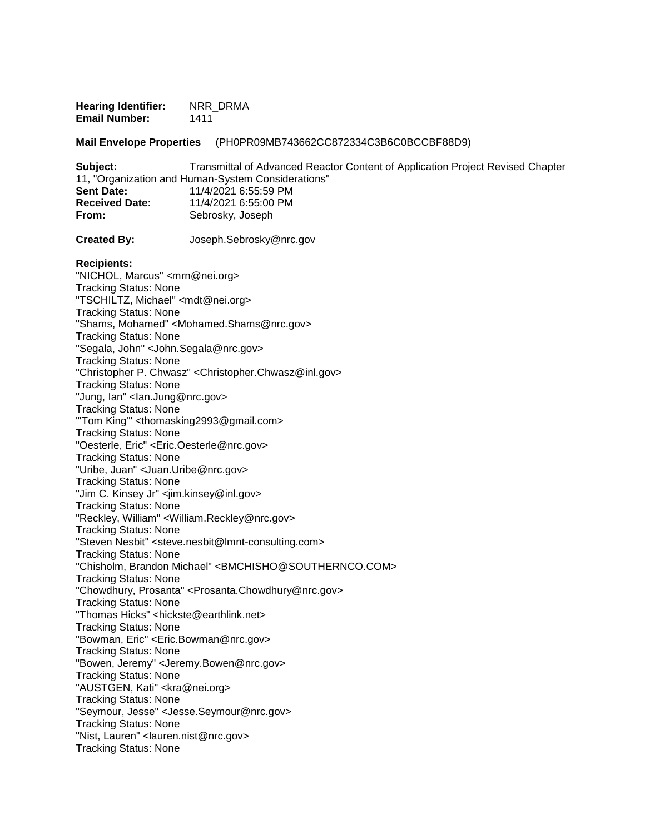**Hearing Identifier: NRR\_DRMA Email Number:** 1411

**Mail Envelope Properties** (PH0PR09MB743662CC872334C3B6C0BCCBF88D9)

**Subject:** Transmittal of Advanced Reactor Content of Application Project Revised Chapter 11, "Organization and Human-System Considerations" **Sent Date:** 11/4/2021 6:55:59 PM **Received Date:** 11/4/2021 6:55:00 PM **From:** Sebrosky, Joseph

**Created By:** Joseph.Sebrosky@nrc.gov

#### **Recipients:**

"NICHOL, Marcus" <mrn@nei.org> Tracking Status: None "TSCHILTZ, Michael" <mdt@nei.org> Tracking Status: None "Shams, Mohamed" <Mohamed.Shams@nrc.gov> Tracking Status: None "Segala, John" <John.Segala@nrc.gov> Tracking Status: None "Christopher P. Chwasz" <Christopher.Chwasz@inl.gov> Tracking Status: None "Jung, Ian" <lan.Jung@nrc.gov> Tracking Status: None "'Tom King'" <thomasking2993@gmail.com> Tracking Status: None "Oesterle, Eric" <Eric.Oesterle@nrc.gov> Tracking Status: None "Uribe, Juan" <Juan.Uribe@nrc.gov> Tracking Status: None "Jim C. Kinsey Jr" <jim.kinsey@inl.gov> Tracking Status: None "Reckley, William" <William.Reckley@nrc.gov> Tracking Status: None "Steven Nesbit" <steve.nesbit@lmnt-consulting.com> Tracking Status: None "Chisholm, Brandon Michael" <BMCHISHO@SOUTHERNCO.COM> Tracking Status: None "Chowdhury, Prosanta" <Prosanta.Chowdhury@nrc.gov> Tracking Status: None "Thomas Hicks" <hickste@earthlink.net> Tracking Status: None "Bowman, Eric" <Eric.Bowman@nrc.gov> Tracking Status: None "Bowen, Jeremy" <Jeremy.Bowen@nrc.gov> Tracking Status: None "AUSTGEN, Kati" <kra@nei.org> Tracking Status: None "Seymour, Jesse" <Jesse.Seymour@nrc.gov> Tracking Status: None "Nist, Lauren" <lauren.nist@nrc.gov> Tracking Status: None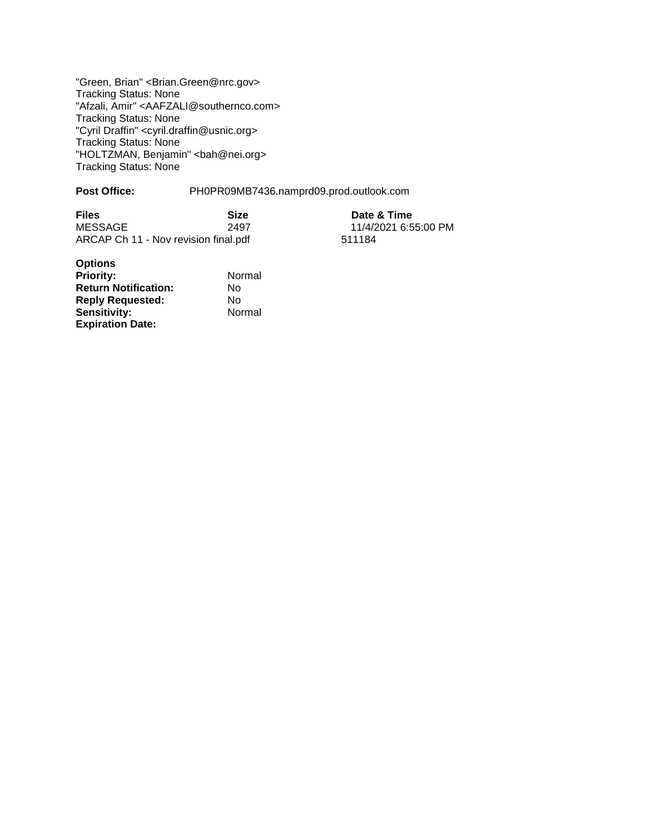"Green, Brian" <Brian.Green@nrc.gov> Tracking Status: None "Afzali, Amir" <AAFZALI@southernco.com> Tracking Status: None "Cyril Draffin" <cyril.draffin@usnic.org> Tracking Status: None "HOLTZMAN, Benjamin" <bah@nei.org> Tracking Status: None

#### Post Office: PH0PR09MB7436.namprd09.prod.outlook.com

| <b>Files</b>                         | <b>Size</b> | Date & Time          |
|--------------------------------------|-------------|----------------------|
| MESSAGE                              | 2497        | 11/4/2021 6:55:00 PM |
| ARCAP Ch 11 - Nov revision final.pdf |             | 511184               |

| <b>Options</b>              |        |
|-----------------------------|--------|
| <b>Priority:</b>            | Normal |
| <b>Return Notification:</b> | N٥     |
| <b>Reply Requested:</b>     | N٥     |
| <b>Sensitivity:</b>         | Normal |
| <b>Expiration Date:</b>     |        |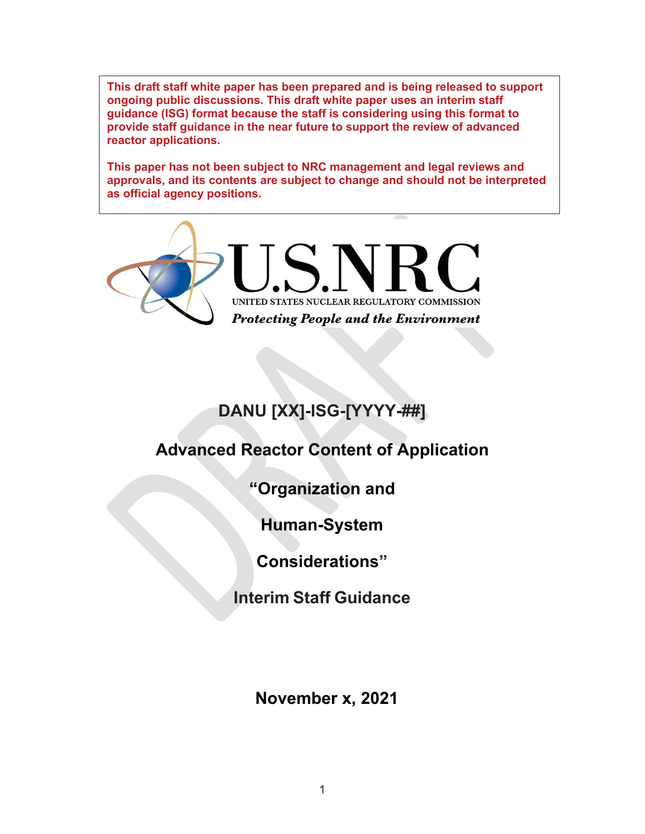**This draft staff white paper has been prepared and is being released to support ongoing public discussions. This draft white paper uses an interim staff guidance (ISG) format because the staff is considering using this format to provide staff guidance in the near future to support the review of advanced reactor applications.**

**This paper has not been subject to NRC management and legal reviews and approvals, and its contents are subject to change and should not be interpreted as official agency positions.**



# **DANU [XX]-ISG-[YYYY-##]**

# **Advanced Reactor Content of Application**

**"Organization and**

**Human-System**

**Considerations"**

**Interim Staff Guidance**

**November x, 2021**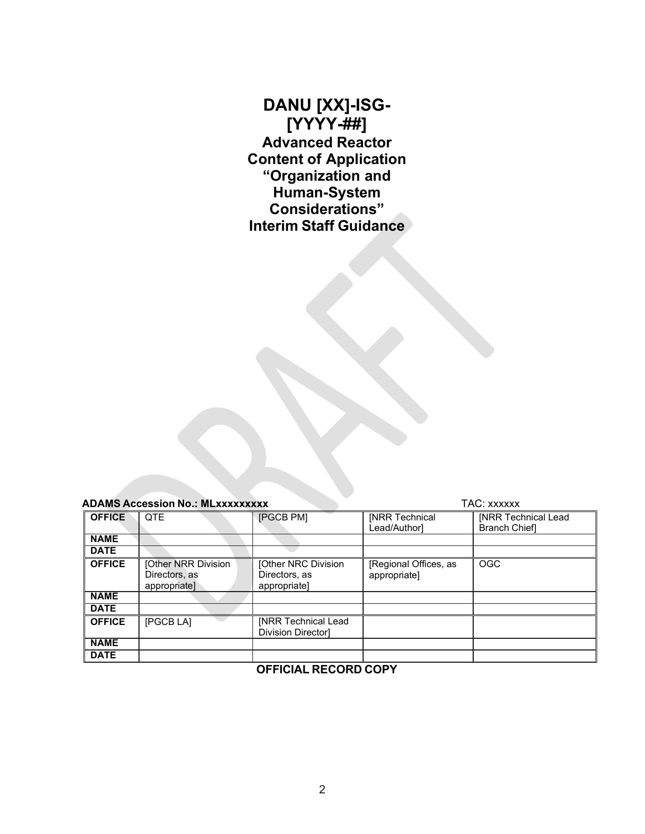**DANU [XX]-ISG- [YYYY-##] Advanced Reactor Content of Application "Organization and Human-System Considerations" Interim Staff Guidance**

| <b>ADAMS Accession No.: MLxxxxxxxxx</b> |                                                      |                                                         | TAC: xxxxxx                           |                                                    |  |  |  |
|-----------------------------------------|------------------------------------------------------|---------------------------------------------------------|---------------------------------------|----------------------------------------------------|--|--|--|
| <b>OFFICE</b>                           | <b>QTE</b>                                           | [PGCB PM]                                               | <b>INRR Technical</b><br>Lead/Authorl | <b>INRR Technical Lead</b><br><b>Branch Chiefl</b> |  |  |  |
| <b>NAME</b>                             |                                                      |                                                         |                                       |                                                    |  |  |  |
| <b>DATE</b>                             |                                                      |                                                         |                                       |                                                    |  |  |  |
| <b>OFFICE</b>                           | [Other NRR Division<br>Directors, as<br>appropriate] | [Other NRC Division<br>Directors, as<br>appropriate]    | [Regional Offices, as<br>appropriate] | <b>OGC</b>                                         |  |  |  |
| <b>NAME</b>                             |                                                      |                                                         |                                       |                                                    |  |  |  |
| <b>DATE</b>                             |                                                      |                                                         |                                       |                                                    |  |  |  |
| <b>OFFICE</b>                           | [PGCB LA]                                            | <b>INRR Technical Lead</b><br><b>Division Directorl</b> |                                       |                                                    |  |  |  |
| <b>NAME</b>                             |                                                      |                                                         |                                       |                                                    |  |  |  |
| <b>DATE</b>                             |                                                      |                                                         |                                       |                                                    |  |  |  |
| AFFIAIAL BEAARD AADV                    |                                                      |                                                         |                                       |                                                    |  |  |  |

#### **OFFICIAL RECORD COPY**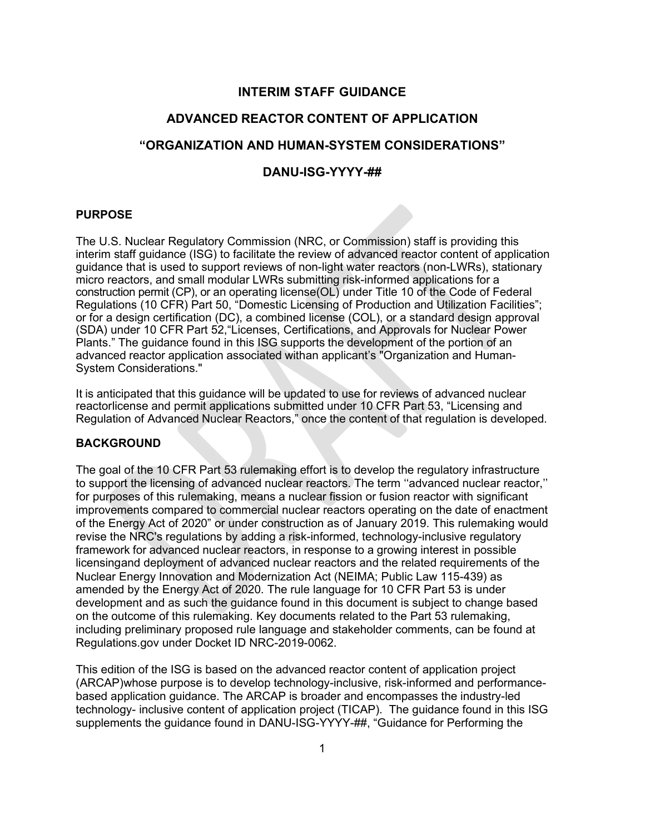## **INTERIM STAFF GUIDANCE**

## **ADVANCED REACTOR CONTENT OF APPLICATION**

## **"ORGANIZATION AND HUMAN-SYSTEM CONSIDERATIONS"**

## **DANU-ISG-YYYY-##**

#### **PURPOSE**

The U.S. Nuclear Regulatory Commission (NRC, or Commission) staff is providing this interim staff guidance (ISG) to facilitate the review of advanced reactor content of application guidance that is used to support reviews of non-light water reactors (non-LWRs), stationary micro reactors, and small modular LWRs submitting risk-informed applications for a construction permit (CP), or an operating license(OL) under Title 10 of the Code of Federal Regulations (10 CFR) Part 50, "Domestic Licensing of Production and Utilization Facilities"; or for a design certification (DC), a combined license (COL), or a standard design approval (SDA) under 10 CFR Part 52,"Licenses, Certifications, and Approvals for Nuclear Power Plants." The guidance found in this ISG supports the development of the portion of an advanced reactor application associated withan applicant's "Organization and Human-System Considerations."

It is anticipated that this guidance will be updated to use for reviews of advanced nuclear reactorlicense and permit applications submitted under 10 CFR Part 53, "Licensing and Regulation of Advanced Nuclear Reactors," once the content of that regulation is developed.

### **BACKGROUND**

The goal of the 10 CFR Part 53 rulemaking effort is to develop the regulatory infrastructure to support the licensing of advanced nuclear reactors. The term ''advanced nuclear reactor,'' for purposes of this rulemaking, means a nuclear fission or fusion reactor with significant improvements compared to commercial nuclear reactors operating on the date of enactment of the Energy Act of 2020" or under construction as of January 2019. This rulemaking would revise the NRC's regulations by adding a risk-informed, technology-inclusive regulatory framework for advanced nuclear reactors, in response to a growing interest in possible licensingand deployment of advanced nuclear reactors and the related requirements of the Nuclear Energy Innovation and Modernization Act (NEIMA; Public Law 115-439) as amended by the Energy Act of 2020. The rule language for 10 CFR Part 53 is under development and as such the guidance found in this document is subject to change based on the outcome of this rulemaking. Key documents related to the Part 53 rulemaking, including preliminary proposed rule language and stakeholder comments, can be found at Regulations.gov under Docket ID NRC-2019-0062.

This edition of the ISG is based on the advanced reactor content of application project (ARCAP)whose purpose is to develop technology-inclusive, risk-informed and performancebased application guidance. The ARCAP is broader and encompasses the industry-led technology- inclusive content of application project (TICAP). The guidance found in this ISG supplements the guidance found in DANU-ISG-YYYY-##, "Guidance for Performing the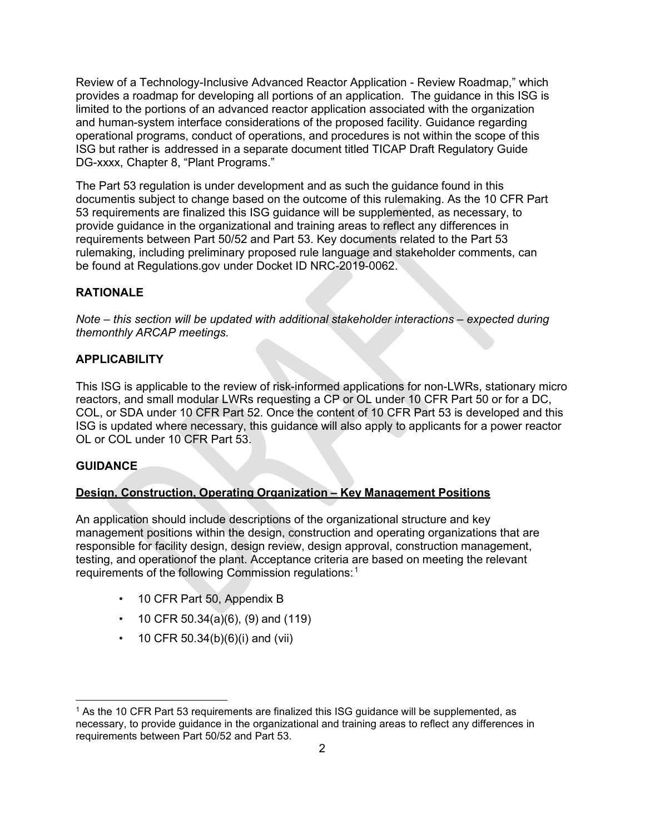Review of a Technology-Inclusive Advanced Reactor Application - Review Roadmap," which provides a roadmap for developing all portions of an application. The guidance in this ISG is limited to the portions of an advanced reactor application associated with the organization and human-system interface considerations of the proposed facility. Guidance regarding operational programs, conduct of operations, and procedures is not within the scope of this ISG but rather is addressed in a separate document titled TICAP Draft Regulatory Guide DG-xxxx, Chapter 8, "Plant Programs."

The Part 53 regulation is under development and as such the guidance found in this documentis subject to change based on the outcome of this rulemaking. As the 10 CFR Part 53 requirements are finalized this ISG guidance will be supplemented, as necessary, to provide guidance in the organizational and training areas to reflect any differences in requirements between Part 50/52 and Part 53. Key documents related to the Part 53 rulemaking, including preliminary proposed rule language and stakeholder comments, can be found at Regulations.gov under Docket ID NRC-2019-0062.

## **RATIONALE**

*Note – this section will be updated with additional stakeholder interactions – expected during themonthly ARCAP meetings.*

## **APPLICABILITY**

This ISG is applicable to the review of risk-informed applications for non-LWRs, stationary micro reactors, and small modular LWRs requesting a CP or OL under 10 CFR Part 50 or for a DC, COL, or SDA under 10 CFR Part 52. Once the content of 10 CFR Part 53 is developed and this ISG is updated where necessary, this guidance will also apply to applicants for a power reactor OL or COL under 10 CFR Part 53.

## **GUIDANCE**

## **Design, Construction, Operating Organization – Key Management Positions**

An application should include descriptions of the organizational structure and key management positions within the design, construction and operating organizations that are responsible for facility design, design review, design approval, construction management, testing, and operationof the plant. Acceptance criteria are based on meeting the relevant requirements of the following Commission regulations: $^{\text{1}}$ 

- 10 CFR Part 50, Appendix B
- 10 CFR 50.34(a)(6), (9) and (119)
- 10 CFR 50.34(b)(6)(i) and (vii)

<sup>&</sup>lt;sup>1</sup> As the 10 CFR Part 53 requirements are finalized this ISG guidance will be supplemented, as necessary, to provide guidance in the organizational and training areas to reflect any differences in requirements between Part 50/52 and Part 53.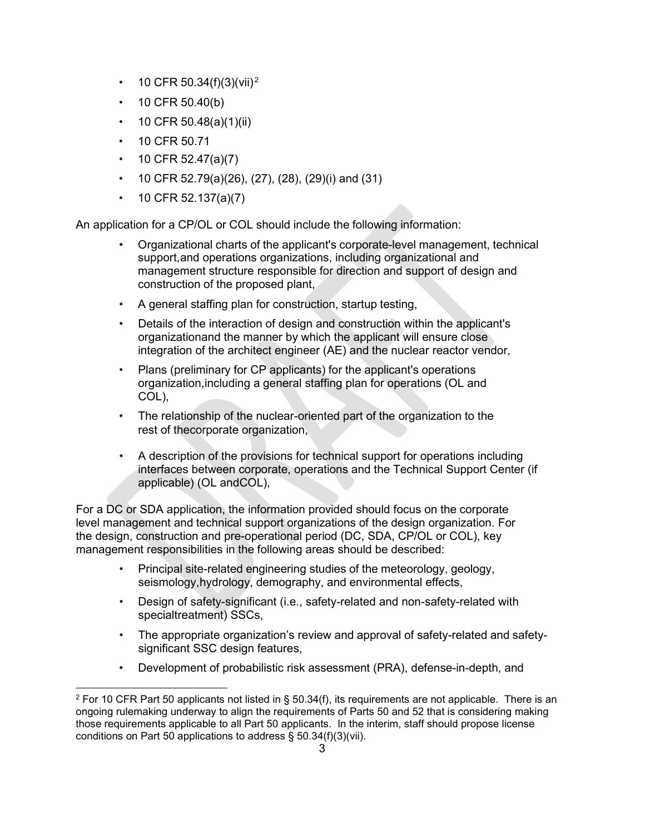- 10 CFR 50.34(f)(3)(vii).<sup>2</sup>
- 10 CFR 50.40(b)
- 10 CFR 50.48(a)(1)(ii)
- 10 CFR 50 71
- 10 CFR 52.47(a)(7)
- 10 CFR 52.79(a)(26), (27), (28), (29)(i) and (31)
- 10 CFR 52.137(a)(7)

An application for a CP/OL or COL should include the following information:

- Organizational charts of the applicant's corporate-level management, technical support,and operations organizations, including organizational and management structure responsible for direction and support of design and construction of the proposed plant,
- A general staffing plan for construction, startup testing,
- Details of the interaction of design and construction within the applicant's organizationand the manner by which the applicant will ensure close integration of the architect engineer (AE) and the nuclear reactor vendor,
- Plans (preliminary for CP applicants) for the applicant's operations organization,including a general staffing plan for operations (OL and COL),
- The relationship of the nuclear-oriented part of the organization to the rest of thecorporate organization,
- A description of the provisions for technical support for operations including interfaces between corporate, operations and the Technical Support Center (if applicable) (OL andCOL),

For a DC or SDA application, the information provided should focus on the corporate level management and technical support organizations of the design organization. For the design, construction and pre-operational period (DC, SDA, CP/OL or COL), key management responsibilities in the following areas should be described:

- Principal site-related engineering studies of the meteorology, geology, seismology,hydrology, demography, and environmental effects,
- Design of safety-significant (i.e., safety-related and non-safety-related with specialtreatment) SSCs,
- The appropriate organization's review and approval of safety-related and safetysignificant SSC design features,
- Development of probabilistic risk assessment (PRA), defense-in-depth, and

 $2$  For 10 CFR Part 50 applicants not listed in § 50.34(f), its requirements are not applicable. There is an ongoing rulemaking underway to align the requirements of Parts 50 and 52 that is considering making those requirements applicable to all Part 50 applicants. In the interim, staff should propose license conditions on Part 50 applications to address § 50.34(f)(3)(vii).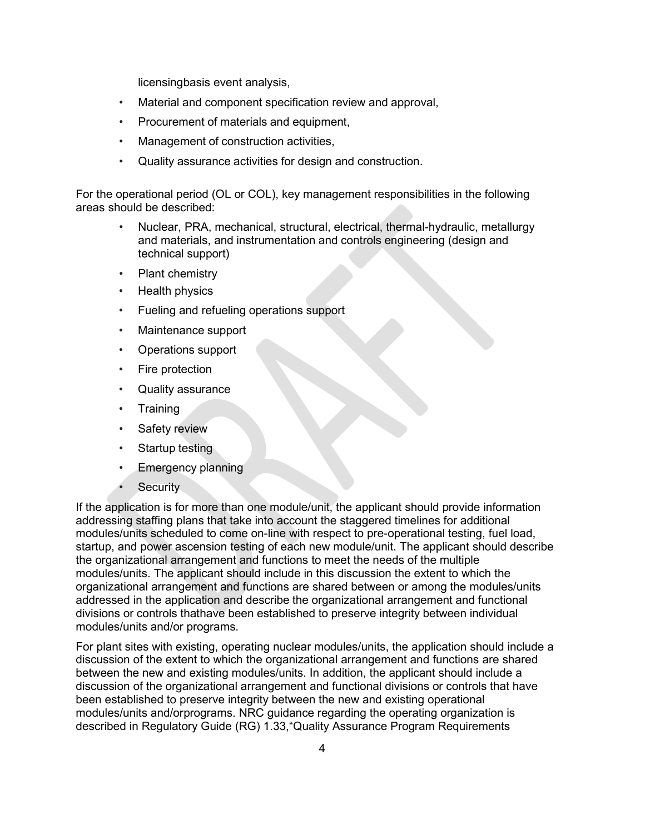licensingbasis event analysis,

- Material and component specification review and approval,
- Procurement of materials and equipment,
- Management of construction activities,
- Quality assurance activities for design and construction.

For the operational period (OL or COL), key management responsibilities in the following areas should be described:

- Nuclear, PRA, mechanical, structural, electrical, thermal-hydraulic, metallurgy and materials, and instrumentation and controls engineering (design and technical support)
- Plant chemistry
- Health physics
- Fueling and refueling operations support
- Maintenance support
- Operations support
- Fire protection
- Quality assurance
- **Training**
- Safety review
- Startup testing
- Emergency planning
- **Security**

If the application is for more than one module/unit, the applicant should provide information addressing staffing plans that take into account the staggered timelines for additional modules/units scheduled to come on-line with respect to pre-operational testing, fuel load, startup, and power ascension testing of each new module/unit. The applicant should describe the organizational arrangement and functions to meet the needs of the multiple modules/units. The applicant should include in this discussion the extent to which the organizational arrangement and functions are shared between or among the modules/units addressed in the application and describe the organizational arrangement and functional divisions or controls thathave been established to preserve integrity between individual modules/units and/or programs.

For plant sites with existing, operating nuclear modules/units, the application should include a discussion of the extent to which the organizational arrangement and functions are shared between the new and existing modules/units. In addition, the applicant should include a discussion of the organizational arrangement and functional divisions or controls that have been established to preserve integrity between the new and existing operational modules/units and/orprograms. NRC guidance regarding the operating organization is described in Regulatory Guide (RG) 1.33,"Quality Assurance Program Requirements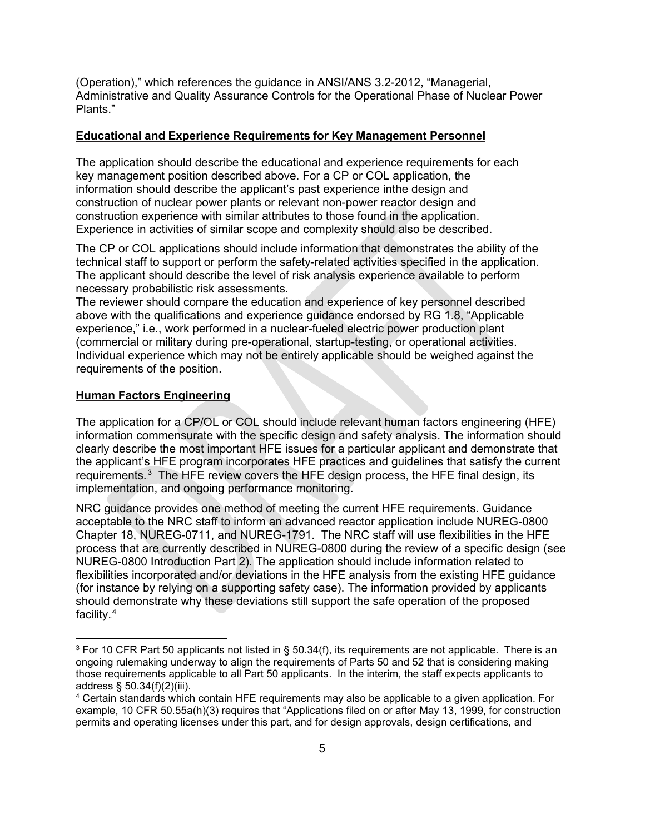(Operation)," which references the guidance in ANSI/ANS 3.2-2012, "Managerial, Administrative and Quality Assurance Controls for the Operational Phase of Nuclear Power Plants."

#### **Educational and Experience Requirements for Key Management Personnel**

The application should describe the educational and experience requirements for each key management position described above. For a CP or COL application, the information should describe the applicant's past experience inthe design and construction of nuclear power plants or relevant non-power reactor design and construction experience with similar attributes to those found in the application. Experience in activities of similar scope and complexity should also be described.

The CP or COL applications should include information that demonstrates the ability of the technical staff to support or perform the safety-related activities specified in the application. The applicant should describe the level of risk analysis experience available to perform necessary probabilistic risk assessments.

The reviewer should compare the education and experience of key personnel described above with the qualifications and experience guidance endorsed by RG 1.8, "Applicable experience," i.e., work performed in a nuclear-fueled electric power production plant (commercial or military during pre-operational, startup-testing, or operational activities. Individual experience which may not be entirely applicable should be weighed against the requirements of the position.

#### **Human Factors Engineering**

The application for a CP/OL or COL should include relevant human factors engineering (HFE) information commensurate with the specific design and safety analysis. The information should clearly describe the most important HFE issues for a particular applicant and demonstrate that the applicant's HFE program incorporates HFE practices and guidelines that satisfy the current requirements. $^3$  The HFE review covers the HFE design process, the HFE final design, its implementation, and ongoing performance monitoring.

NRC guidance provides one method of meeting the current HFE requirements. Guidance acceptable to the NRC staff to inform an advanced reactor application include NUREG-0800 Chapter 18, NUREG-0711, and NUREG-1791. The NRC staff will use flexibilities in the HFE process that are currently described in NUREG-0800 during the review of a specific design (see NUREG-0800 Introduction Part 2). The application should include information related to flexibilities incorporated and/or deviations in the HFE analysis from the existing HFE guidance (for instance by relying on a supporting safety case). The information provided by applicants should demonstrate why these deviations still support the safe operation of the proposed facility.<sup>4</sup>

 $3$  For 10 CFR Part 50 applicants not listed in § 50.34(f), its requirements are not applicable. There is an ongoing rulemaking underway to align the requirements of Parts 50 and 52 that is considering making those requirements applicable to all Part 50 applicants. In the interim, the staff expects applicants to address § 50.34(f)(2)(iii).

<sup>4</sup> Certain standards which contain HFE requirements may also be applicable to a given application. For example, 10 CFR 50.55a(h)(3) requires that "Applications filed on or after May 13, 1999, for construction permits and operating licenses under this part, and for design approvals, design certifications, and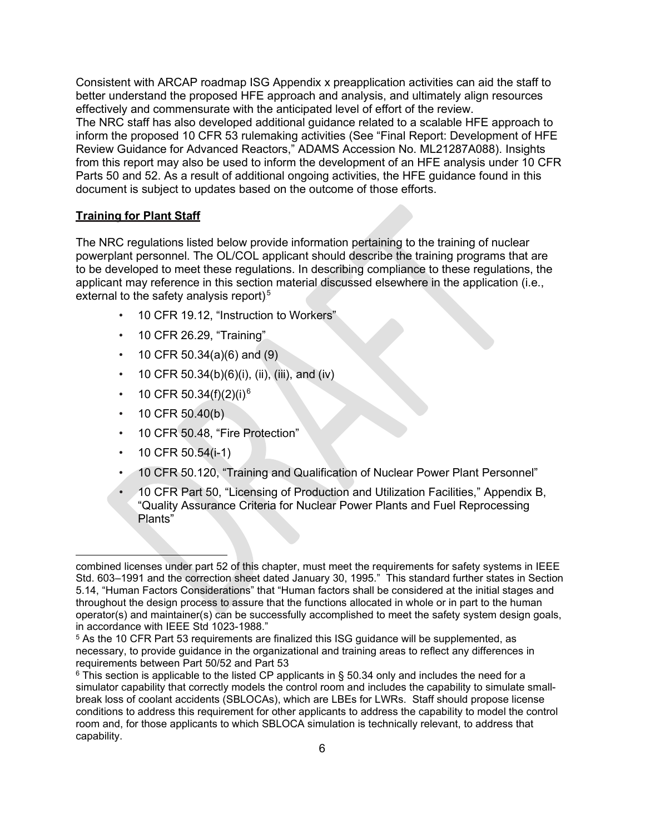Consistent with ARCAP roadmap ISG Appendix x preapplication activities can aid the staff to better understand the proposed HFE approach and analysis, and ultimately align resources effectively and commensurate with the anticipated level of effort of the review. The NRC staff has also developed additional guidance related to a scalable HFE approach to inform the proposed 10 CFR 53 rulemaking activities (See "Final Report: Development of HFE Review Guidance for Advanced Reactors," ADAMS Accession No. ML21287A088). Insights from this report may also be used to inform the development of an HFE analysis under 10 CFR Parts 50 and 52. As a result of additional ongoing activities, the HFE guidance found in this document is subject to updates based on the outcome of those efforts.

#### **Training for Plant Staff**

The NRC regulations listed below provide information pertaining to the training of nuclear powerplant personnel. The OL/COL applicant should describe the training programs that are to be developed to meet these regulations. In describing compliance to these regulations, the applicant may reference in this section material discussed elsewhere in the application (i.e., external to the safety analysis report) $^5$ 

- 10 CFR 19.12, "Instruction to Workers"
- 10 CFR 26.29, "Training"
- 10 CFR 50.34(a)(6) and (9)
- 10 CFR 50.34(b)(6)(i), (ii), (iii), and (iv)
- 10 CFR 50.34(f)(2)(i)<sup>6</sup>
- 10 CFR 50.40(b)
- 10 CFR 50.48, "Fire Protection"
- 10 CFR 50.54(i-1)
- 10 CFR 50.120, "Training and Qualification of Nuclear Power Plant Personnel"
- 10 CFR Part 50, "Licensing of Production and Utilization Facilities," Appendix B, "Quality Assurance Criteria for Nuclear Power Plants and Fuel Reprocessing Plants"

combined licenses under part 52 of this chapter, must meet the requirements for safety systems in IEEE Std. 603–1991 and the correction sheet dated January 30, 1995." This standard further states in Section 5.14, "Human Factors Considerations" that "Human factors shall be considered at the initial stages and throughout the design process to assure that the functions allocated in whole or in part to the human operator(s) and maintainer(s) can be successfully accomplished to meet the safety system design goals, in accordance with IEEE Std 1023-1988."

<sup>5</sup> As the 10 CFR Part 53 requirements are finalized this ISG guidance will be supplemented, as necessary, to provide guidance in the organizational and training areas to reflect any differences in requirements between Part 50/52 and Part 53

 $6$  This section is applicable to the listed CP applicants in § 50.34 only and includes the need for a simulator capability that correctly models the control room and includes the capability to simulate smallbreak loss of coolant accidents (SBLOCAs), which are LBEs for LWRs. Staff should propose license conditions to address this requirement for other applicants to address the capability to model the control room and, for those applicants to which SBLOCA simulation is technically relevant, to address that capability.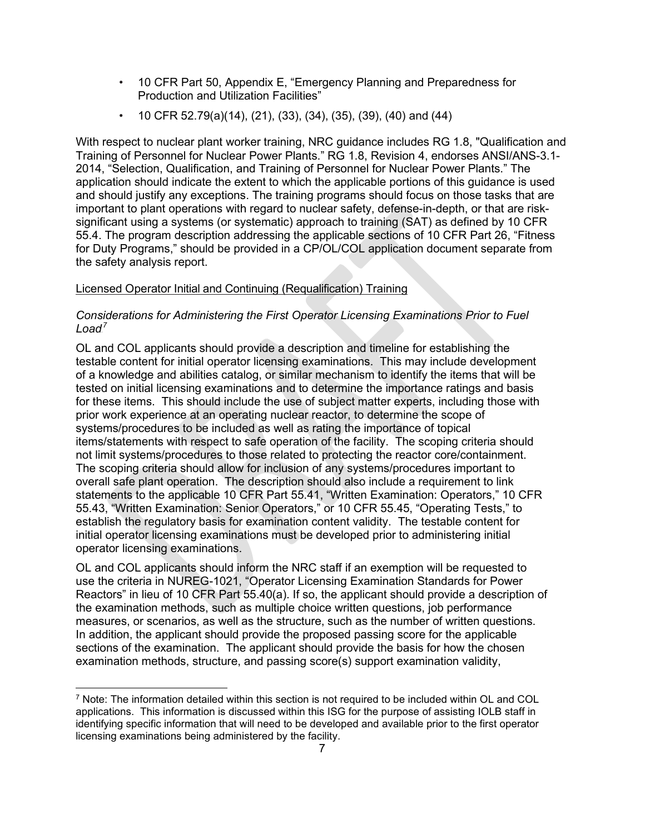- 10 CFR Part 50, Appendix E, "Emergency Planning and Preparedness for Production and Utilization Facilities"
- 10 CFR 52.79(a)(14), (21), (33), (34), (35), (39), (40) and (44)

With respect to nuclear plant worker training, NRC guidance includes RG 1.8, "Qualification and Training of Personnel for Nuclear Power Plants." RG 1.8, Revision 4, endorses ANSI/ANS-3.1- 2014, "Selection, Qualification, and Training of Personnel for Nuclear Power Plants." The application should indicate the extent to which the applicable portions of this guidance is used and should justify any exceptions. The training programs should focus on those tasks that are important to plant operations with regard to nuclear safety, defense-in-depth, or that are risksignificant using a systems (or systematic) approach to training (SAT) as defined by 10 CFR 55.4. The program description addressing the applicable sections of 10 CFR Part 26, "Fitness for Duty Programs," should be provided in a CP/OL/COL application document separate from the safety analysis report.

## Licensed Operator Initial and Continuing (Requalification) Training

## *Considerations for Administering the First Operator Licensing Examinations Prior to Fuel*  Load<sup>7</sup>

OL and COL applicants should provide a description and timeline for establishing the testable content for initial operator licensing examinations. This may include development of a knowledge and abilities catalog, or similar mechanism to identify the items that will be tested on initial licensing examinations and to determine the importance ratings and basis for these items. This should include the use of subject matter experts, including those with prior work experience at an operating nuclear reactor, to determine the scope of systems/procedures to be included as well as rating the importance of topical items/statements with respect to safe operation of the facility. The scoping criteria should not limit systems/procedures to those related to protecting the reactor core/containment. The scoping criteria should allow for inclusion of any systems/procedures important to overall safe plant operation. The description should also include a requirement to link statements to the applicable 10 CFR Part 55.41, "Written Examination: Operators," 10 CFR 55.43, "Written Examination: Senior Operators," or 10 CFR 55.45, "Operating Tests," to establish the regulatory basis for examination content validity. The testable content for initial operator licensing examinations must be developed prior to administering initial operator licensing examinations.

OL and COL applicants should inform the NRC staff if an exemption will be requested to use the criteria in NUREG-1021, "Operator Licensing Examination Standards for Power Reactors" in lieu of 10 CFR Part 55.40(a). If so, the applicant should provide a description of the examination methods, such as multiple choice written questions, job performance measures, or scenarios, as well as the structure, such as the number of written questions. In addition, the applicant should provide the proposed passing score for the applicable sections of the examination. The applicant should provide the basis for how the chosen examination methods, structure, and passing score(s) support examination validity,

<sup>7</sup> Note: The information detailed within this section is not required to be included within OL and COL applications. This information is discussed within this ISG for the purpose of assisting IOLB staff in identifying specific information that will need to be developed and available prior to the first operator licensing examinations being administered by the facility.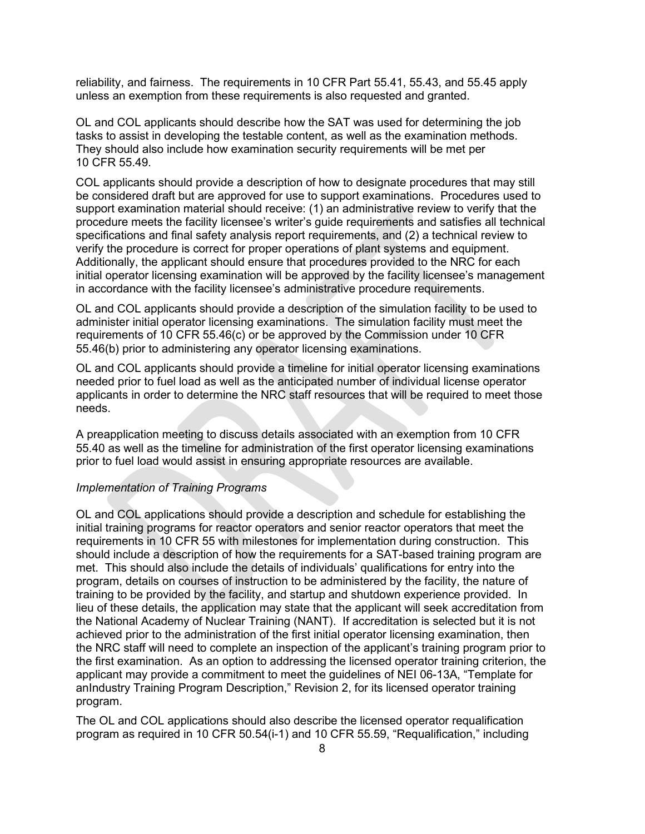reliability, and fairness. The requirements in 10 CFR Part 55.41, 55.43, and 55.45 apply unless an exemption from these requirements is also requested and granted.

OL and COL applicants should describe how the SAT was used for determining the job tasks to assist in developing the testable content, as well as the examination methods. They should also include how examination security requirements will be met per 10 CFR 55.49.

COL applicants should provide a description of how to designate procedures that may still be considered draft but are approved for use to support examinations. Procedures used to support examination material should receive: (1) an administrative review to verify that the procedure meets the facility licensee's writer's guide requirements and satisfies all technical specifications and final safety analysis report requirements, and (2) a technical review to verify the procedure is correct for proper operations of plant systems and equipment. Additionally, the applicant should ensure that procedures provided to the NRC for each initial operator licensing examination will be approved by the facility licensee's management in accordance with the facility licensee's administrative procedure requirements.

OL and COL applicants should provide a description of the simulation facility to be used to administer initial operator licensing examinations. The simulation facility must meet the requirements of 10 CFR 55.46(c) or be approved by the Commission under 10 CFR 55.46(b) prior to administering any operator licensing examinations.

OL and COL applicants should provide a timeline for initial operator licensing examinations needed prior to fuel load as well as the anticipated number of individual license operator applicants in order to determine the NRC staff resources that will be required to meet those needs.

A preapplication meeting to discuss details associated with an exemption from 10 CFR 55.40 as well as the timeline for administration of the first operator licensing examinations prior to fuel load would assist in ensuring appropriate resources are available.

#### *Implementation of Training Programs*

OL and COL applications should provide a description and schedule for establishing the initial training programs for reactor operators and senior reactor operators that meet the requirements in 10 CFR 55 with milestones for implementation during construction. This should include a description of how the requirements for a SAT-based training program are met. This should also include the details of individuals' qualifications for entry into the program, details on courses of instruction to be administered by the facility, the nature of training to be provided by the facility, and startup and shutdown experience provided. In lieu of these details, the application may state that the applicant will seek accreditation from the National Academy of Nuclear Training (NANT). If accreditation is selected but it is not achieved prior to the administration of the first initial operator licensing examination, then the NRC staff will need to complete an inspection of the applicant's training program prior to the first examination. As an option to addressing the licensed operator training criterion, the applicant may provide a commitment to meet the guidelines of NEI 06-13A, "Template for anIndustry Training Program Description," Revision 2, for its licensed operator training program.

The OL and COL applications should also describe the licensed operator requalification program as required in 10 CFR 50.54(i-1) and 10 CFR 55.59, "Requalification," including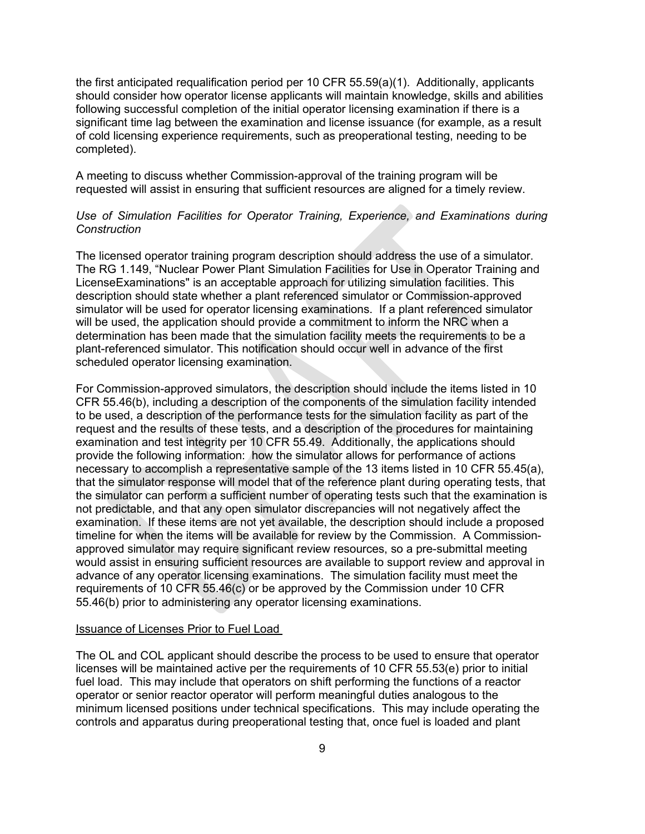the first anticipated requalification period per 10 CFR 55.59(a)(1). Additionally, applicants should consider how operator license applicants will maintain knowledge, skills and abilities following successful completion of the initial operator licensing examination if there is a significant time lag between the examination and license issuance (for example, as a result of cold licensing experience requirements, such as preoperational testing, needing to be completed).

A meeting to discuss whether Commission-approval of the training program will be requested will assist in ensuring that sufficient resources are aligned for a timely review.

## *Use of Simulation Facilities for Operator Training, Experience, and Examinations during Construction*

The licensed operator training program description should address the use of a simulator. The RG 1.149, "Nuclear Power Plant Simulation Facilities for Use in Operator Training and LicenseExaminations" is an acceptable approach for utilizing simulation facilities. This description should state whether a plant referenced simulator or Commission-approved simulator will be used for operator licensing examinations. If a plant referenced simulator will be used, the application should provide a commitment to inform the NRC when a determination has been made that the simulation facility meets the requirements to be a plant-referenced simulator. This notification should occur well in advance of the first scheduled operator licensing examination.

For Commission-approved simulators, the description should include the items listed in 10 CFR 55.46(b), including a description of the components of the simulation facility intended to be used, a description of the performance tests for the simulation facility as part of the request and the results of these tests, and a description of the procedures for maintaining examination and test integrity per 10 CFR 55.49. Additionally, the applications should provide the following information: how the simulator allows for performance of actions necessary to accomplish a representative sample of the 13 items listed in 10 CFR 55.45(a), that the simulator response will model that of the reference plant during operating tests, that the simulator can perform a sufficient number of operating tests such that the examination is not predictable, and that any open simulator discrepancies will not negatively affect the examination. If these items are not yet available, the description should include a proposed timeline for when the items will be available for review by the Commission. A Commissionapproved simulator may require significant review resources, so a pre-submittal meeting would assist in ensuring sufficient resources are available to support review and approval in advance of any operator licensing examinations. The simulation facility must meet the requirements of 10 CFR 55.46(c) or be approved by the Commission under 10 CFR 55.46(b) prior to administering any operator licensing examinations.

#### Issuance of Licenses Prior to Fuel Load

The OL and COL applicant should describe the process to be used to ensure that operator licenses will be maintained active per the requirements of 10 CFR 55.53(e) prior to initial fuel load. This may include that operators on shift performing the functions of a reactor operator or senior reactor operator will perform meaningful duties analogous to the minimum licensed positions under technical specifications. This may include operating the controls and apparatus during preoperational testing that, once fuel is loaded and plant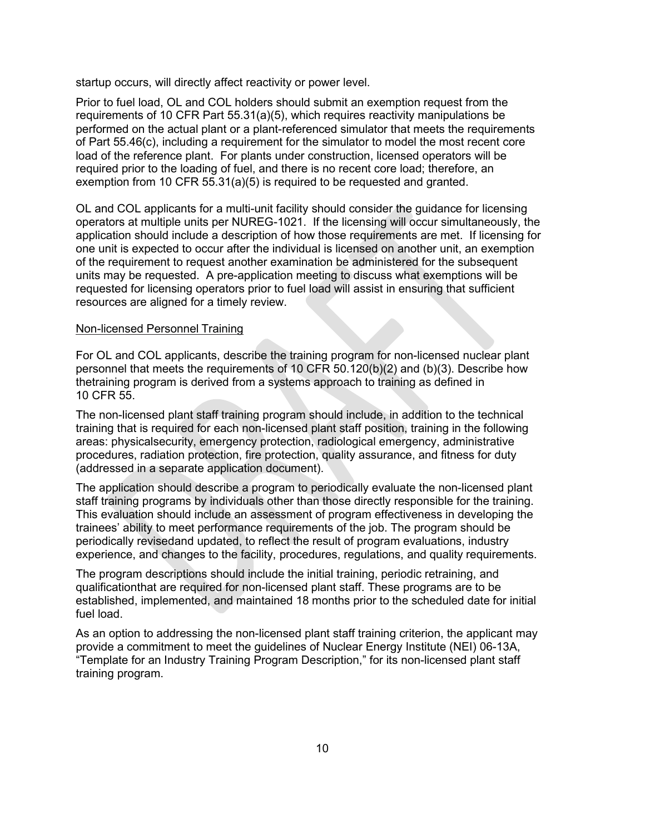startup occurs, will directly affect reactivity or power level.

Prior to fuel load, OL and COL holders should submit an exemption request from the requirements of 10 CFR Part 55.31(a)(5), which requires reactivity manipulations be performed on the actual plant or a plant-referenced simulator that meets the requirements of Part 55.46(c), including a requirement for the simulator to model the most recent core load of the reference plant. For plants under construction, licensed operators will be required prior to the loading of fuel, and there is no recent core load; therefore, an exemption from 10 CFR 55.31(a)(5) is required to be requested and granted.

OL and COL applicants for a multi-unit facility should consider the guidance for licensing operators at multiple units per NUREG-1021. If the licensing will occur simultaneously, the application should include a description of how those requirements are met. If licensing for one unit is expected to occur after the individual is licensed on another unit, an exemption of the requirement to request another examination be administered for the subsequent units may be requested. A pre-application meeting to discuss what exemptions will be requested for licensing operators prior to fuel load will assist in ensuring that sufficient resources are aligned for a timely review.

#### Non-licensed Personnel Training

For OL and COL applicants, describe the training program for non-licensed nuclear plant personnel that meets the requirements of 10 CFR 50.120(b)(2) and (b)(3). Describe how thetraining program is derived from a systems approach to training as defined in 10 CFR 55.

The non-licensed plant staff training program should include, in addition to the technical training that is required for each non-licensed plant staff position, training in the following areas: physicalsecurity, emergency protection, radiological emergency, administrative procedures, radiation protection, fire protection, quality assurance, and fitness for duty (addressed in a separate application document).

The application should describe a program to periodically evaluate the non-licensed plant staff training programs by individuals other than those directly responsible for the training. This evaluation should include an assessment of program effectiveness in developing the trainees' ability to meet performance requirements of the job. The program should be periodically revisedand updated, to reflect the result of program evaluations, industry experience, and changes to the facility, procedures, regulations, and quality requirements.

The program descriptions should include the initial training, periodic retraining, and qualificationthat are required for non-licensed plant staff. These programs are to be established, implemented, and maintained 18 months prior to the scheduled date for initial fuel load.

As an option to addressing the non-licensed plant staff training criterion, the applicant may provide a commitment to meet the guidelines of Nuclear Energy Institute (NEI) 06-13A, "Template for an Industry Training Program Description," for its non-licensed plant staff training program.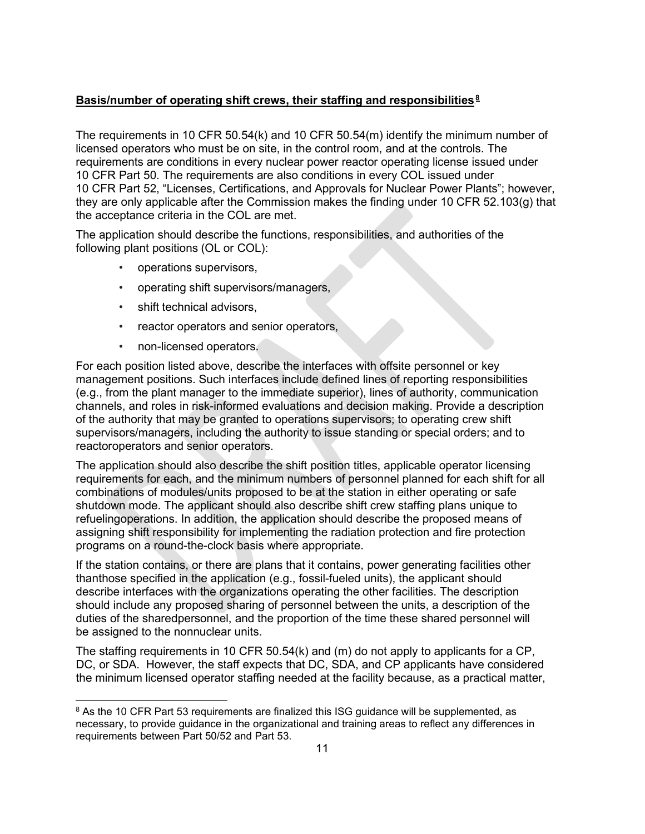## **Basis/number of operating shift crews, their staffing and responsibilities**<sup>2</sup> 7F **8**

The requirements in 10 CFR 50.54(k) and 10 CFR 50.54(m) identify the minimum number of licensed operators who must be on site, in the control room, and at the controls. The requirements are conditions in every nuclear power reactor operating license issued under 10 CFR Part 50. The requirements are also conditions in every COL issued under 10 CFR Part 52, "Licenses, Certifications, and Approvals for Nuclear Power Plants"; however, they are only applicable after the Commission makes the finding under 10 CFR 52.103(g) that the acceptance criteria in the COL are met.

The application should describe the functions, responsibilities, and authorities of the following plant positions (OL or COL):

- operations supervisors,
- operating shift supervisors/managers,
- shift technical advisors,
- reactor operators and senior operators,
- non-licensed operators.

For each position listed above, describe the interfaces with offsite personnel or key management positions. Such interfaces include defined lines of reporting responsibilities (e.g., from the plant manager to the immediate superior), lines of authority, communication channels, and roles in risk-informed evaluations and decision making. Provide a description of the authority that may be granted to operations supervisors; to operating crew shift supervisors/managers, including the authority to issue standing or special orders; and to reactoroperators and senior operators.

The application should also describe the shift position titles, applicable operator licensing requirements for each, and the minimum numbers of personnel planned for each shift for all combinations of modules/units proposed to be at the station in either operating or safe shutdown mode. The applicant should also describe shift crew staffing plans unique to refuelingoperations. In addition, the application should describe the proposed means of assigning shift responsibility for implementing the radiation protection and fire protection programs on a round-the-clock basis where appropriate.

If the station contains, or there are plans that it contains, power generating facilities other thanthose specified in the application (e.g., fossil-fueled units), the applicant should describe interfaces with the organizations operating the other facilities. The description should include any proposed sharing of personnel between the units, a description of the duties of the sharedpersonnel, and the proportion of the time these shared personnel will be assigned to the nonnuclear units.

The staffing requirements in 10 CFR 50.54(k) and (m) do not apply to applicants for a CP, DC, or SDA. However, the staff expects that DC, SDA, and CP applicants have considered the minimum licensed operator staffing needed at the facility because, as a practical matter,

<sup>&</sup>lt;sup>8</sup> As the 10 CFR Part 53 requirements are finalized this ISG guidance will be supplemented, as necessary, to provide guidance in the organizational and training areas to reflect any differences in requirements between Part 50/52 and Part 53.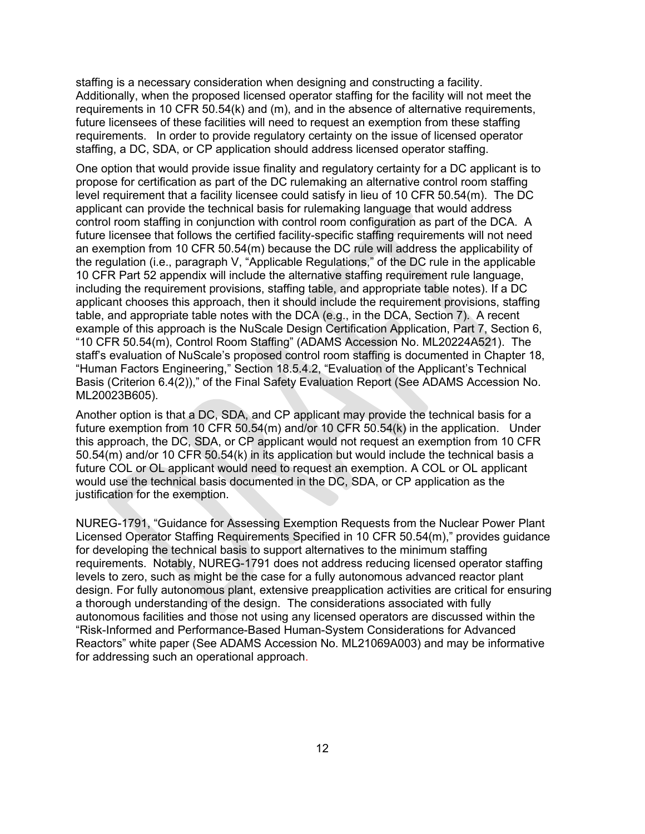staffing is a necessary consideration when designing and constructing a facility. Additionally, when the proposed licensed operator staffing for the facility will not meet the requirements in 10 CFR 50.54(k) and (m), and in the absence of alternative requirements, future licensees of these facilities will need to request an exemption from these staffing requirements. In order to provide regulatory certainty on the issue of licensed operator staffing, a DC, SDA, or CP application should address licensed operator staffing.

One option that would provide issue finality and regulatory certainty for a DC applicant is to propose for certification as part of the DC rulemaking an alternative control room staffing level requirement that a facility licensee could satisfy in lieu of 10 CFR 50.54(m). The DC applicant can provide the technical basis for rulemaking language that would address control room staffing in conjunction with control room configuration as part of the DCA. A future licensee that follows the certified facility-specific staffing requirements will not need an exemption from 10 CFR 50.54(m) because the DC rule will address the applicability of the regulation (i.e., paragraph V, "Applicable Regulations," of the DC rule in the applicable 10 CFR Part 52 appendix will include the alternative staffing requirement rule language, including the requirement provisions, staffing table, and appropriate table notes). If a DC applicant chooses this approach, then it should include the requirement provisions, staffing table, and appropriate table notes with the DCA (e.g., in the DCA, Section 7). A recent example of this approach is the NuScale Design Certification Application, Part 7, Section 6, "10 CFR 50.54(m), Control Room Staffing" (ADAMS Accession No. ML20224A521). The staff's evaluation of NuScale's proposed control room staffing is documented in Chapter 18, "Human Factors Engineering," Section 18.5.4.2, "Evaluation of the Applicant's Technical Basis (Criterion 6.4(2))," of the Final Safety Evaluation Report (See ADAMS Accession No. ML20023B605).

Another option is that a DC, SDA, and CP applicant may provide the technical basis for a future exemption from 10 CFR 50.54(m) and/or 10 CFR 50.54(k) in the application. Under this approach, the DC, SDA, or CP applicant would not request an exemption from 10 CFR 50.54(m) and/or 10 CFR 50.54(k) in its application but would include the technical basis a future COL or OL applicant would need to request an exemption. A COL or OL applicant would use the technical basis documented in the DC, SDA, or CP application as the justification for the exemption.

NUREG-1791, "Guidance for Assessing Exemption Requests from the Nuclear Power Plant Licensed Operator Staffing Requirements Specified in 10 CFR 50.54(m)," provides guidance for developing the technical basis to support alternatives to the minimum staffing requirements. Notably, NUREG-1791 does not address reducing licensed operator staffing levels to zero, such as might be the case for a fully autonomous advanced reactor plant design. For fully autonomous plant, extensive preapplication activities are critical for ensuring a thorough understanding of the design. The considerations associated with fully autonomous facilities and those not using any licensed operators are discussed within the "Risk-Informed and Performance-Based Human-System Considerations for Advanced Reactors" white paper (See ADAMS Accession No. ML21069A003) and may be informative for addressing such an operational approach.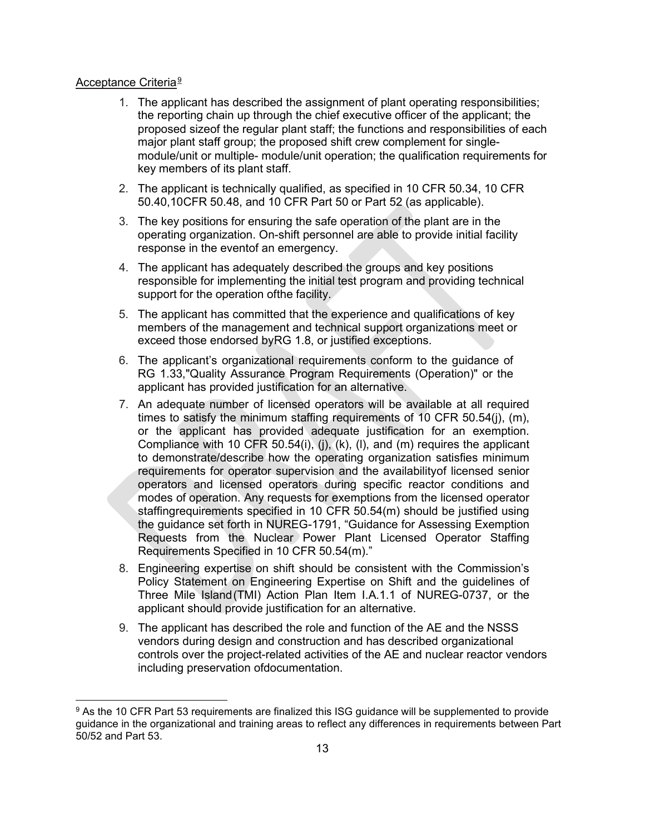### <u>Acceptance Criteria<sup>9</sup></u>

- 1. The applicant has described the assignment of plant operating responsibilities; the reporting chain up through the chief executive officer of the applicant; the proposed sizeof the regular plant staff; the functions and responsibilities of each major plant staff group; the proposed shift crew complement for singlemodule/unit or multiple- module/unit operation; the qualification requirements for key members of its plant staff.
- 2. The applicant is technically qualified, as specified in 10 CFR 50.34, 10 CFR 50.40,10CFR 50.48, and 10 CFR Part 50 or Part 52 (as applicable).
- 3. The key positions for ensuring the safe operation of the plant are in the operating organization. On-shift personnel are able to provide initial facility response in the eventof an emergency.
- 4. The applicant has adequately described the groups and key positions responsible for implementing the initial test program and providing technical support for the operation ofthe facility.
- 5. The applicant has committed that the experience and qualifications of key members of the management and technical support organizations meet or exceed those endorsed byRG 1.8, or justified exceptions.
- 6. The applicant's organizational requirements conform to the guidance of RG 1.33,"Quality Assurance Program Requirements (Operation)" or the applicant has provided justification for an alternative.
- 7. An adequate number of licensed operators will be available at all required times to satisfy the minimum staffing requirements of 10 CFR 50.54(j), (m), or the applicant has provided adequate justification for an exemption. Compliance with 10 CFR 50.54(i), (j), (k), (l), and (m) requires the applicant to demonstrate/describe how the operating organization satisfies minimum requirements for operator supervision and the availabilityof licensed senior operators and licensed operators during specific reactor conditions and modes of operation. Any requests for exemptions from the licensed operator staffingrequirements specified in 10 CFR 50.54(m) should be justified using the guidance set forth in NUREG-1791, "Guidance for Assessing Exemption Requests from the Nuclear Power Plant Licensed Operator Staffing Requirements Specified in 10 CFR 50.54(m)."
- 8. Engineering expertise on shift should be consistent with the Commission's Policy Statement on Engineering Expertise on Shift and the guidelines of Three Mile Island(TMI) Action Plan Item I.A.1.1 of NUREG-0737, or the applicant should provide justification for an alternative.
- 9. The applicant has described the role and function of the AE and the NSSS vendors during design and construction and has described organizational controls over the project-related activities of the AE and nuclear reactor vendors including preservation ofdocumentation.

<sup>&</sup>lt;sup>9</sup> As the 10 CFR Part 53 requirements are finalized this ISG guidance will be supplemented to provide guidance in the organizational and training areas to reflect any differences in requirements between Part 50/52 and Part 53.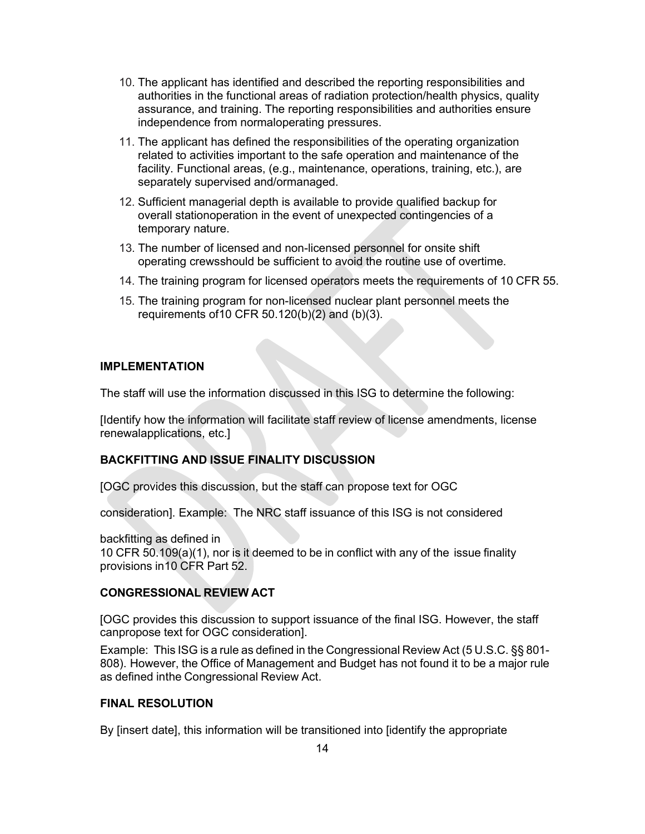- 10. The applicant has identified and described the reporting responsibilities and authorities in the functional areas of radiation protection/health physics, quality assurance, and training. The reporting responsibilities and authorities ensure independence from normaloperating pressures.
- 11. The applicant has defined the responsibilities of the operating organization related to activities important to the safe operation and maintenance of the facility. Functional areas, (e.g., maintenance, operations, training, etc.), are separately supervised and/ormanaged.
- 12. Sufficient managerial depth is available to provide qualified backup for overall stationoperation in the event of unexpected contingencies of a temporary nature.
- 13. The number of licensed and non-licensed personnel for onsite shift operating crewsshould be sufficient to avoid the routine use of overtime.
- 14. The training program for licensed operators meets the requirements of 10 CFR 55.
- 15. The training program for non-licensed nuclear plant personnel meets the requirements of10 CFR 50.120(b)(2) and (b)(3).

#### **IMPLEMENTATION**

The staff will use the information discussed in this ISG to determine the following:

[Identify how the information will facilitate staff review of license amendments, license renewalapplications, etc.]

#### **BACKFITTING AND ISSUE FINALITY DISCUSSION**

[OGC provides this discussion, but the staff can propose text for OGC

consideration]. Example: The NRC staff issuance of this ISG is not considered

backfitting as defined in 10 CFR 50.109(a)(1), nor is it deemed to be in conflict with any of the issue finality provisions in10 CFR Part 52.

#### **CONGRESSIONAL REVIEW ACT**

[OGC provides this discussion to support issuance of the final ISG. However, the staff canpropose text for OGC consideration].

Example: This ISG is a rule as defined in the Congressional Review Act (5 U.S.C. §§ 801- 808). However, the Office of Management and Budget has not found it to be a major rule as defined inthe Congressional Review Act.

#### **FINAL RESOLUTION**

By [insert date], this information will be transitioned into [identify the appropriate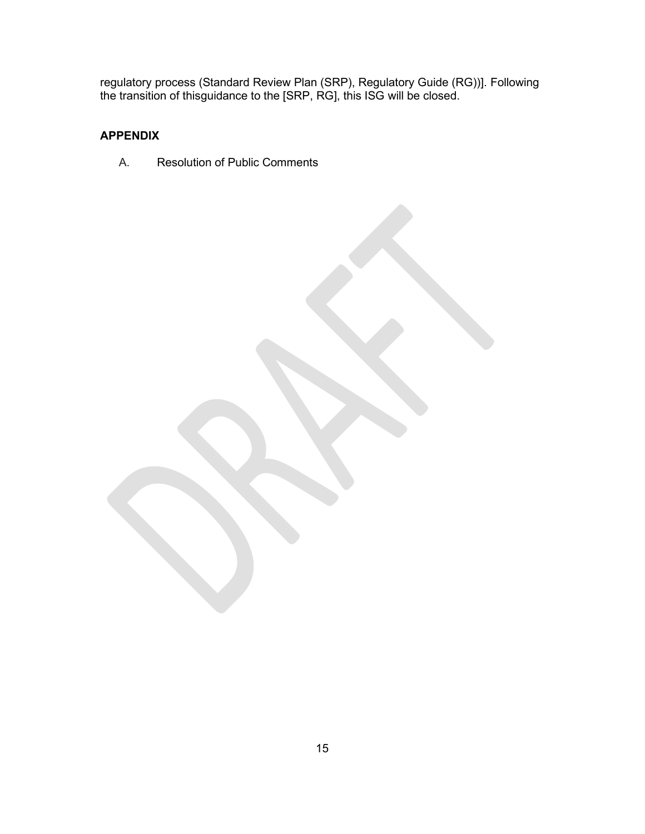regulatory process (Standard Review Plan (SRP), Regulatory Guide (RG))]. Following the transition of thisguidance to the [SRP, RG], this ISG will be closed.

## **APPENDIX**

A. Resolution of Public Comments